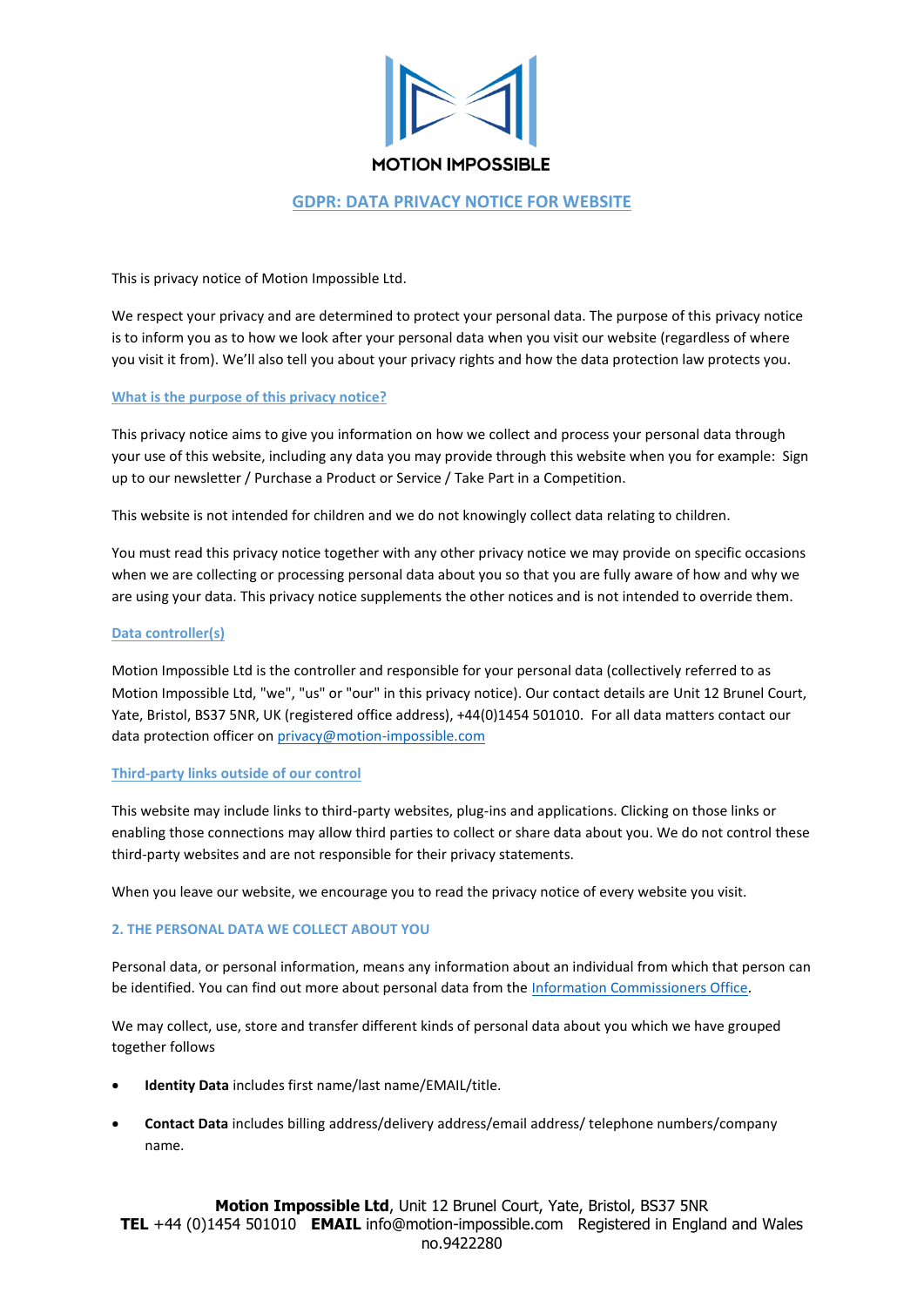

# **GDPR: DATA PRIVACY NOTICE FOR WEBSITE**

This is privacy notice of Motion Impossible Ltd.

We respect your privacy and are determined to protect your personal data. The purpose of this privacy notice is to inform you as to how we look after your personal data when you visit our website (regardless of where you visit it from). We'll also tell you about your privacy rights and how the data protection law protects you.

## **What is the purpose of this privacy notice?**

This privacy notice aims to give you information on how we collect and process your personal data through your use of this website, including any data you may provide through this website when you for example: Sign up to our newsletter / Purchase a Product or Service / Take Part in a Competition.

This website is not intended for children and we do not knowingly collect data relating to children.

You must read this privacy notice together with any other privacy notice we may provide on specific occasions when we are collecting or processing personal data about you so that you are fully aware of how and why we are using your data. This privacy notice supplements the other notices and is not intended to override them.

## **Data controller(s)**

Motion Impossible Ltd is the controller and responsible for your personal data (collectively referred to as Motion Impossible Ltd, "we", "us" or "our" in this privacy notice). Our contact details are Unit 12 Brunel Court, Yate, Bristol, BS37 5NR, UK (registered office address), +44(0)1454 501010. For all data matters contact our data protection officer on [privacy@motion-impossible.com](mailto:privacy@motion-impossible.com)

## **Third-party links outside of our control**

This website may include links to third-party websites, plug-ins and applications. Clicking on those links or enabling those connections may allow third parties to collect or share data about you. We do not control these third-party websites and are not responsible for their privacy statements.

When you leave our website, we encourage you to read the privacy notice of every website you visit.

# **2. THE PERSONAL DATA WE COLLECT ABOUT YOU**

Personal data, or personal information, means any information about an individual from which that person can be identified. You can find out more about personal data from th[e Information Commissioners Office.](https://ico.org.uk/global/contact-us/)

We may collect, use, store and transfer different kinds of personal data about you which we have grouped together follows

- **Identity Data** includes first name/last name/EMAIL/title.
- **Contact Data** includes billing address/delivery address/email address/ telephone numbers/company name.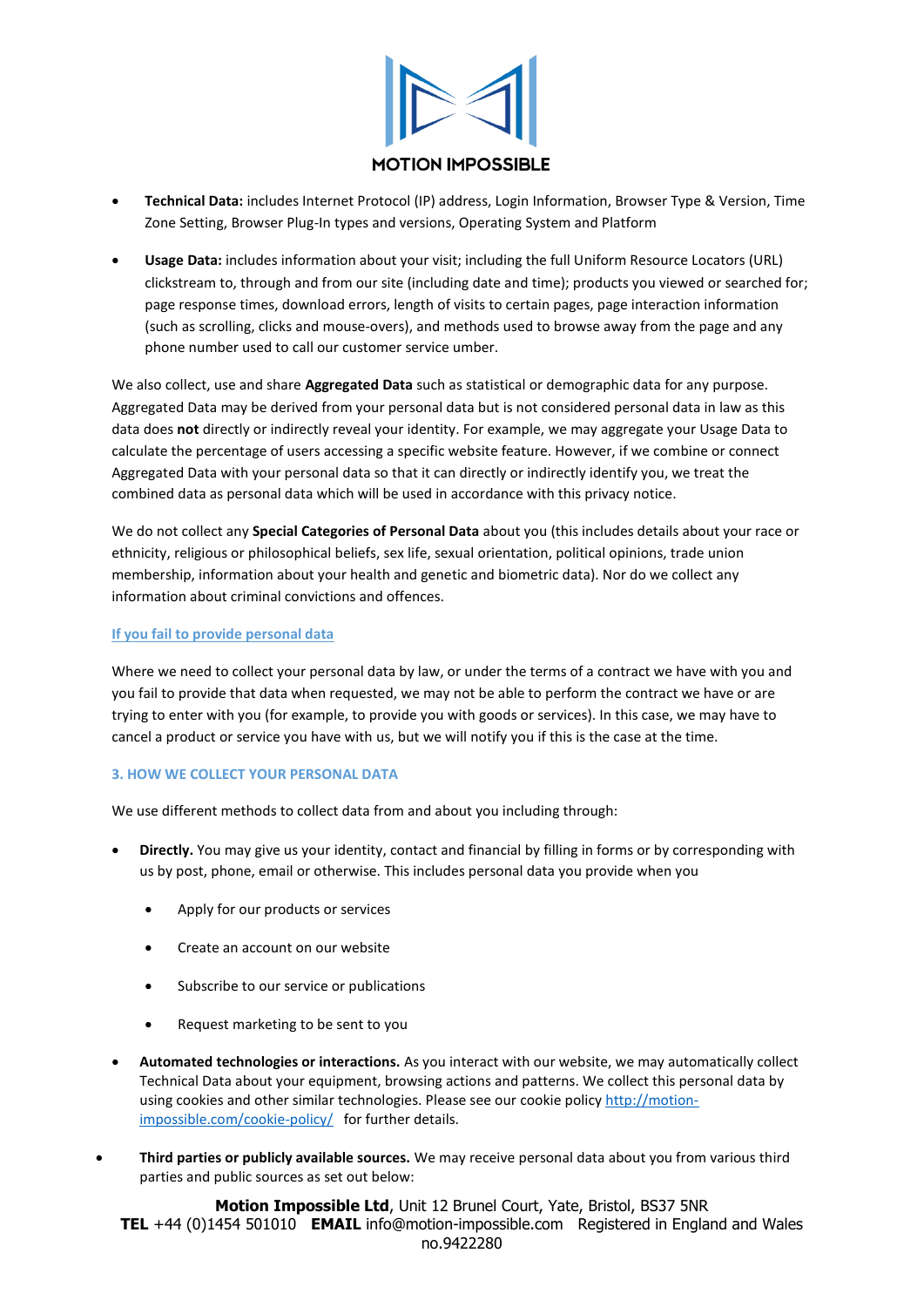

- **Technical Data:** includes Internet Protocol (IP) address, Login Information, Browser Type & Version, Time Zone Setting, Browser Plug-In types and versions, Operating System and Platform
- **Usage Data:** includes information about your visit; including the full Uniform Resource Locators (URL) clickstream to, through and from our site (including date and time); products you viewed or searched for; page response times, download errors, length of visits to certain pages, page interaction information (such as scrolling, clicks and mouse-overs), and methods used to browse away from the page and any phone number used to call our customer service umber.

We also collect, use and share **Aggregated Data** such as statistical or demographic data for any purpose. Aggregated Data may be derived from your personal data but is not considered personal data in law as this data does **not** directly or indirectly reveal your identity. For example, we may aggregate your Usage Data to calculate the percentage of users accessing a specific website feature. However, if we combine or connect Aggregated Data with your personal data so that it can directly or indirectly identify you, we treat the combined data as personal data which will be used in accordance with this privacy notice.

We do not collect any **Special Categories of Personal Data** about you (this includes details about your race or ethnicity, religious or philosophical beliefs, sex life, sexual orientation, political opinions, trade union membership, information about your health and genetic and biometric data). Nor do we collect any information about criminal convictions and offences.

## **If you fail to provide personal data**

Where we need to collect your personal data by law, or under the terms of a contract we have with you and you fail to provide that data when requested, we may not be able to perform the contract we have or are trying to enter with you (for example, to provide you with goods or services). In this case, we may have to cancel a product or service you have with us, but we will notify you if this is the case at the time.

## **3. HOW WE COLLECT YOUR PERSONAL DATA**

We use different methods to collect data from and about you including through:

- **Directly.** You may give us your identity, contact and financial by filling in forms or by corresponding with us by post, phone, email or otherwise. This includes personal data you provide when you
	- Apply for our products or services
	- Create an account on our website
	- Subscribe to our service or publications
	- Request marketing to be sent to you
- **Automated technologies or interactions.** As you interact with our website, we may automatically collect Technical Data about your equipment, browsing actions and patterns. We collect this personal data by using cookies and other similar technologies. Please see our cookie policy [http://motion](http://motion-impossible.com/cookie-policy/)[impossible.com/cookie-policy/](http://motion-impossible.com/cookie-policy/) for further details.
- **Third parties or publicly available sources.** We may receive personal data about you from various third parties and public sources as set out below:

**Motion Impossible Ltd**, Unit 12 Brunel Court, Yate, Bristol, BS37 5NR **TEL** +44 (0)1454 501010 **EMAIL** info@motion-impossible.com Registered in England and Wales no.9422280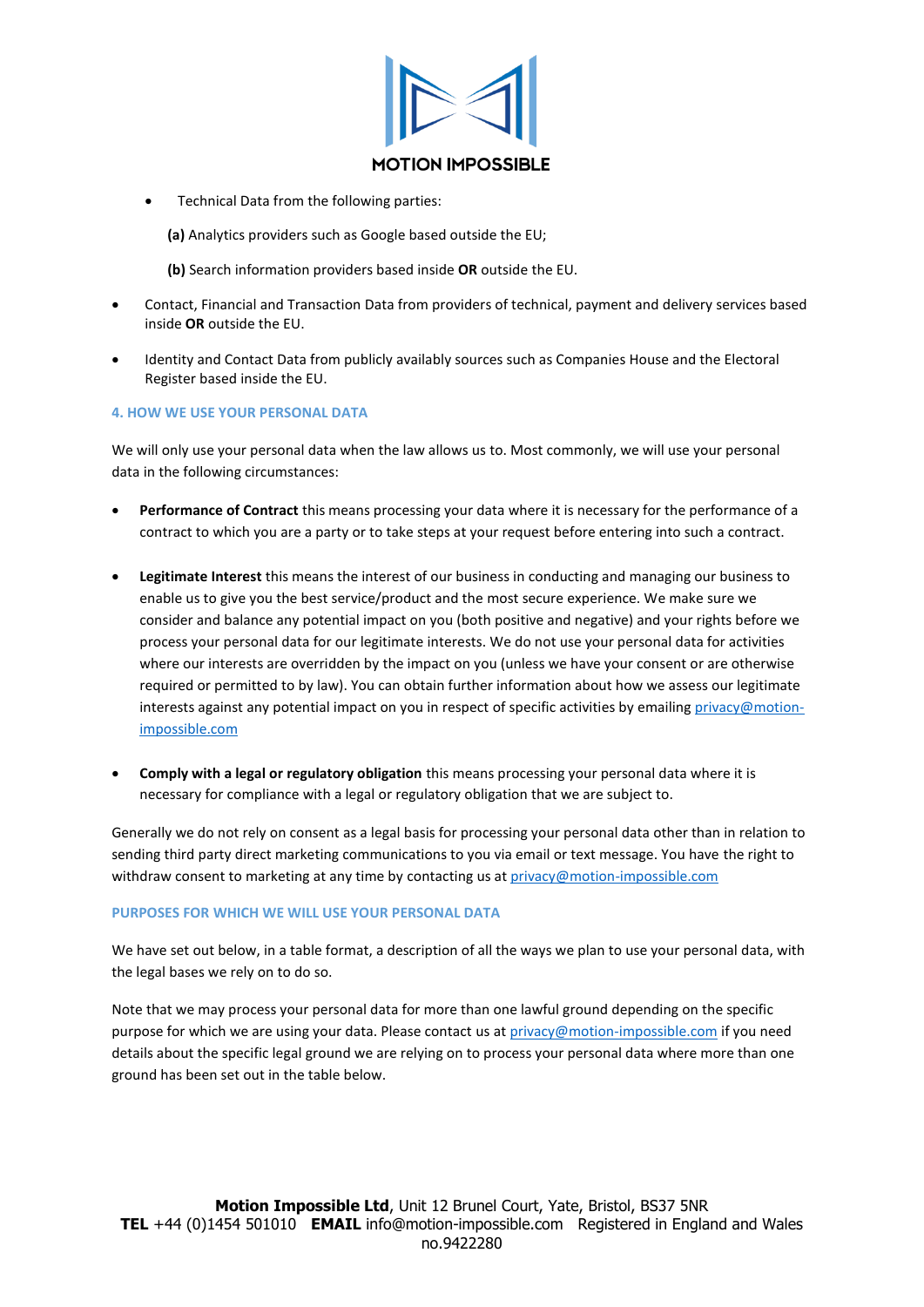

• Technical Data from the following parties:

**(a)** Analytics providers such as Google based outside the EU;

- **(b)** Search information providers based inside **OR** outside the EU.
- Contact, Financial and Transaction Data from providers of technical, payment and delivery services based inside **OR** outside the EU.
- Identity and Contact Data from publicly availably sources such as Companies House and the Electoral Register based inside the EU.

## **4. HOW WE USE YOUR PERSONAL DATA**

We will only use your personal data when the law allows us to. Most commonly, we will use your personal data in the following circumstances:

- **Performance of Contract** this means processing your data where it is necessary for the performance of a contract to which you are a party or to take steps at your request before entering into such a contract.
- **Legitimate Interest** this means the interest of our business in conducting and managing our business to enable us to give you the best service/product and the most secure experience. We make sure we consider and balance any potential impact on you (both positive and negative) and your rights before we process your personal data for our legitimate interests. We do not use your personal data for activities where our interests are overridden by the impact on you (unless we have your consent or are otherwise required or permitted to by law). You can obtain further information about how we assess our legitimate interests against any potential impact on you in respect of specific activities by emailing [privacy@motion](mailto:privacy@motion-impossible.com)[impossible.com](mailto:privacy@motion-impossible.com)
- **Comply with a legal or regulatory obligation** this means processing your personal data where it is necessary for compliance with a legal or regulatory obligation that we are subject to.

Generally we do not rely on consent as a legal basis for processing your personal data other than in relation to sending third party direct marketing communications to you via email or text message. You have the right to withdraw consent to marketing at any time by contacting us at [privacy@motion-impossible.com](mailto:privacy@motion-impossible.com)

## **PURPOSES FOR WHICH WE WILL USE YOUR PERSONAL DATA**

We have set out below, in a table format, a description of all the ways we plan to use your personal data, with the legal bases we rely on to do so.

Note that we may process your personal data for more than one lawful ground depending on the specific purpose for which we are using your data. Please contact us a[t privacy@motion-impossible.com](mailto:privacy@motion-impossible.com) if you need details about the specific legal ground we are relying on to process your personal data where more than one ground has been set out in the table below.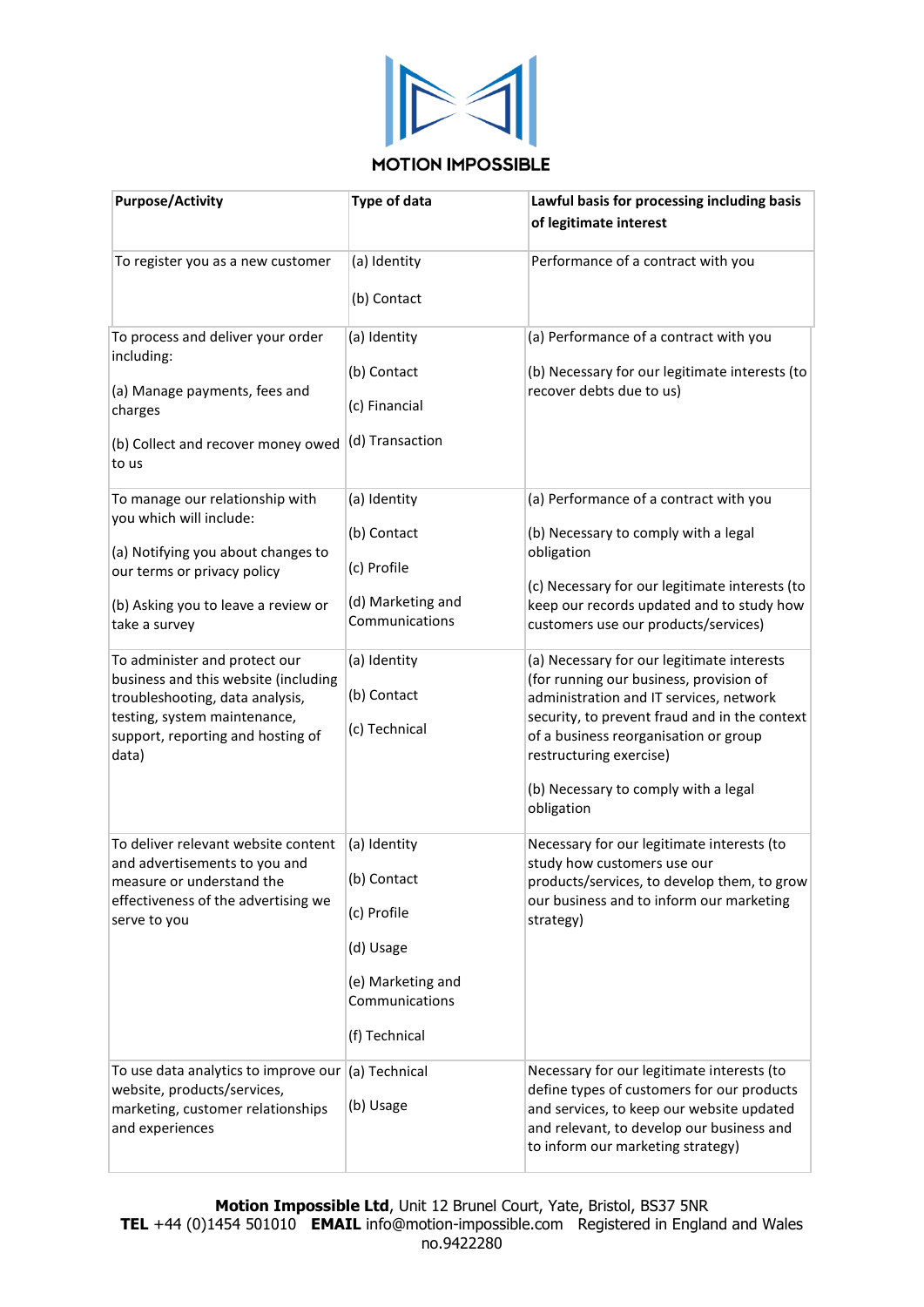

# **MOTION IMPOSSIBLE**

| <b>Purpose/Activity</b>                                                                                                                                                                                                                                                                                                                                                           | <b>Type of data</b>                                                                                                               | Lawful basis for processing including basis<br>of legitimate interest                                                                                                                                                                                                                                                                                                                                                                                                                                                                              |
|-----------------------------------------------------------------------------------------------------------------------------------------------------------------------------------------------------------------------------------------------------------------------------------------------------------------------------------------------------------------------------------|-----------------------------------------------------------------------------------------------------------------------------------|----------------------------------------------------------------------------------------------------------------------------------------------------------------------------------------------------------------------------------------------------------------------------------------------------------------------------------------------------------------------------------------------------------------------------------------------------------------------------------------------------------------------------------------------------|
| To register you as a new customer                                                                                                                                                                                                                                                                                                                                                 | (a) Identity<br>(b) Contact                                                                                                       | Performance of a contract with you                                                                                                                                                                                                                                                                                                                                                                                                                                                                                                                 |
| To process and deliver your order<br>including:<br>(a) Manage payments, fees and<br>charges<br>(b) Collect and recover money owed<br>to us                                                                                                                                                                                                                                        | (a) Identity<br>(b) Contact<br>(c) Financial<br>(d) Transaction                                                                   | (a) Performance of a contract with you<br>(b) Necessary for our legitimate interests (to<br>recover debts due to us)                                                                                                                                                                                                                                                                                                                                                                                                                               |
| To manage our relationship with<br>you which will include:<br>(a) Notifying you about changes to<br>our terms or privacy policy<br>(b) Asking you to leave a review or<br>take a survey<br>To administer and protect our<br>business and this website (including<br>troubleshooting, data analysis,<br>testing, system maintenance,<br>support, reporting and hosting of<br>data) | (a) Identity<br>(b) Contact<br>(c) Profile<br>(d) Marketing and<br>Communications<br>(a) Identity<br>(b) Contact<br>(c) Technical | (a) Performance of a contract with you<br>(b) Necessary to comply with a legal<br>obligation<br>(c) Necessary for our legitimate interests (to<br>keep our records updated and to study how<br>customers use our products/services)<br>(a) Necessary for our legitimate interests<br>(for running our business, provision of<br>administration and IT services, network<br>security, to prevent fraud and in the context<br>of a business reorganisation or group<br>restructuring exercise)<br>(b) Necessary to comply with a legal<br>obligation |
| To deliver relevant website content<br>and advertisements to you and<br>measure or understand the<br>effectiveness of the advertising we<br>serve to you<br>To use data analytics to improve our                                                                                                                                                                                  | (a) Identity<br>(b) Contact<br>(c) Profile<br>(d) Usage<br>(e) Marketing and<br>Communications<br>(f) Technical<br>(a) Technical  | Necessary for our legitimate interests (to<br>study how customers use our<br>products/services, to develop them, to grow<br>our business and to inform our marketing<br>strategy)<br>Necessary for our legitimate interests (to                                                                                                                                                                                                                                                                                                                    |
| website, products/services,<br>marketing, customer relationships<br>and experiences                                                                                                                                                                                                                                                                                               | (b) Usage                                                                                                                         | define types of customers for our products<br>and services, to keep our website updated<br>and relevant, to develop our business and<br>to inform our marketing strategy)                                                                                                                                                                                                                                                                                                                                                                          |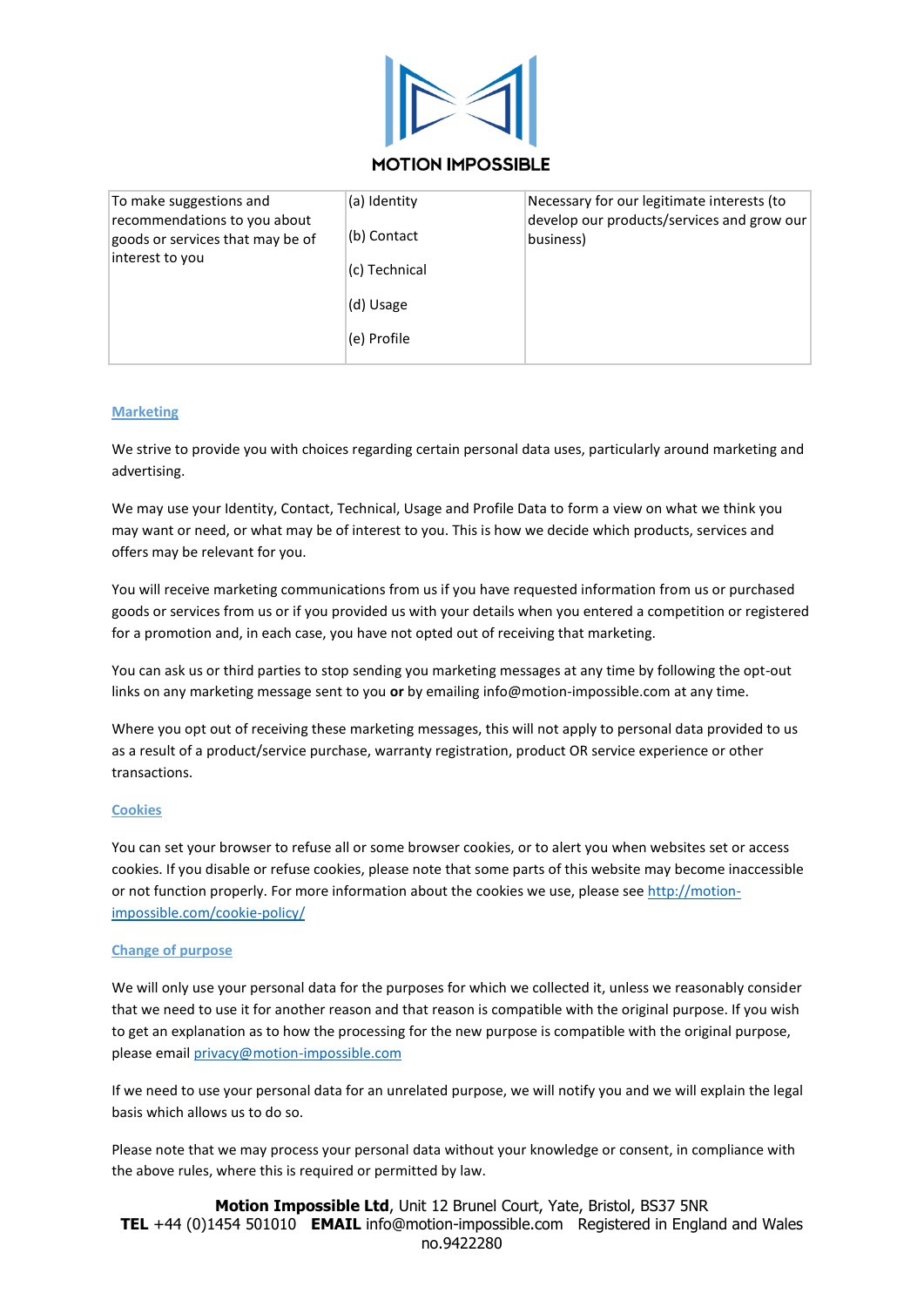

# **MOTION IMPOSSIBLE**

| To make suggestions and<br>recommendations to you about<br>goods or services that may be of<br>interest to you | (a) Identity<br>(b) Contact<br>(c) Technical<br>(d) Usage<br>(e) Profile | Necessary for our legitimate interests (to<br>develop our products/services and grow our<br>business) |
|----------------------------------------------------------------------------------------------------------------|--------------------------------------------------------------------------|-------------------------------------------------------------------------------------------------------|
|----------------------------------------------------------------------------------------------------------------|--------------------------------------------------------------------------|-------------------------------------------------------------------------------------------------------|

## **Marketing**

We strive to provide you with choices regarding certain personal data uses, particularly around marketing and advertising.

We may use your Identity, Contact, Technical, Usage and Profile Data to form a view on what we think you may want or need, or what may be of interest to you. This is how we decide which products, services and offers may be relevant for you.

You will receive marketing communications from us if you have requested information from us or purchased goods or services from us or if you provided us with your details when you entered a competition or registered for a promotion and, in each case, you have not opted out of receiving that marketing.

You can ask us or third parties to stop sending you marketing messages at any time by following the opt-out links on any marketing message sent to you **or** by emailing info@motion-impossible.com at any time.

Where you opt out of receiving these marketing messages, this will not apply to personal data provided to us as a result of a product/service purchase, warranty registration, product OR service experience or other transactions.

## **Cookies**

You can set your browser to refuse all or some browser cookies, or to alert you when websites set or access cookies. If you disable or refuse cookies, please note that some parts of this website may become inaccessible or not function properly. For more information about the cookies we use, please see [http://motion](http://motion-impossible.com/cookie-policy/)[impossible.com/cookie-policy/](http://motion-impossible.com/cookie-policy/)

## **Change of purpose**

We will only use your personal data for the purposes for which we collected it, unless we reasonably consider that we need to use it for another reason and that reason is compatible with the original purpose. If you wish to get an explanation as to how the processing for the new purpose is compatible with the original purpose, please email [privacy@motion-impossible.com](mailto:privacy@motion-impossible.com)

If we need to use your personal data for an unrelated purpose, we will notify you and we will explain the legal basis which allows us to do so.

Please note that we may process your personal data without your knowledge or consent, in compliance with the above rules, where this is required or permitted by law.

**Motion Impossible Ltd**, Unit 12 Brunel Court, Yate, Bristol, BS37 5NR **TEL** +44 (0)1454 501010 **EMAIL** info@motion-impossible.com Registered in England and Wales no.9422280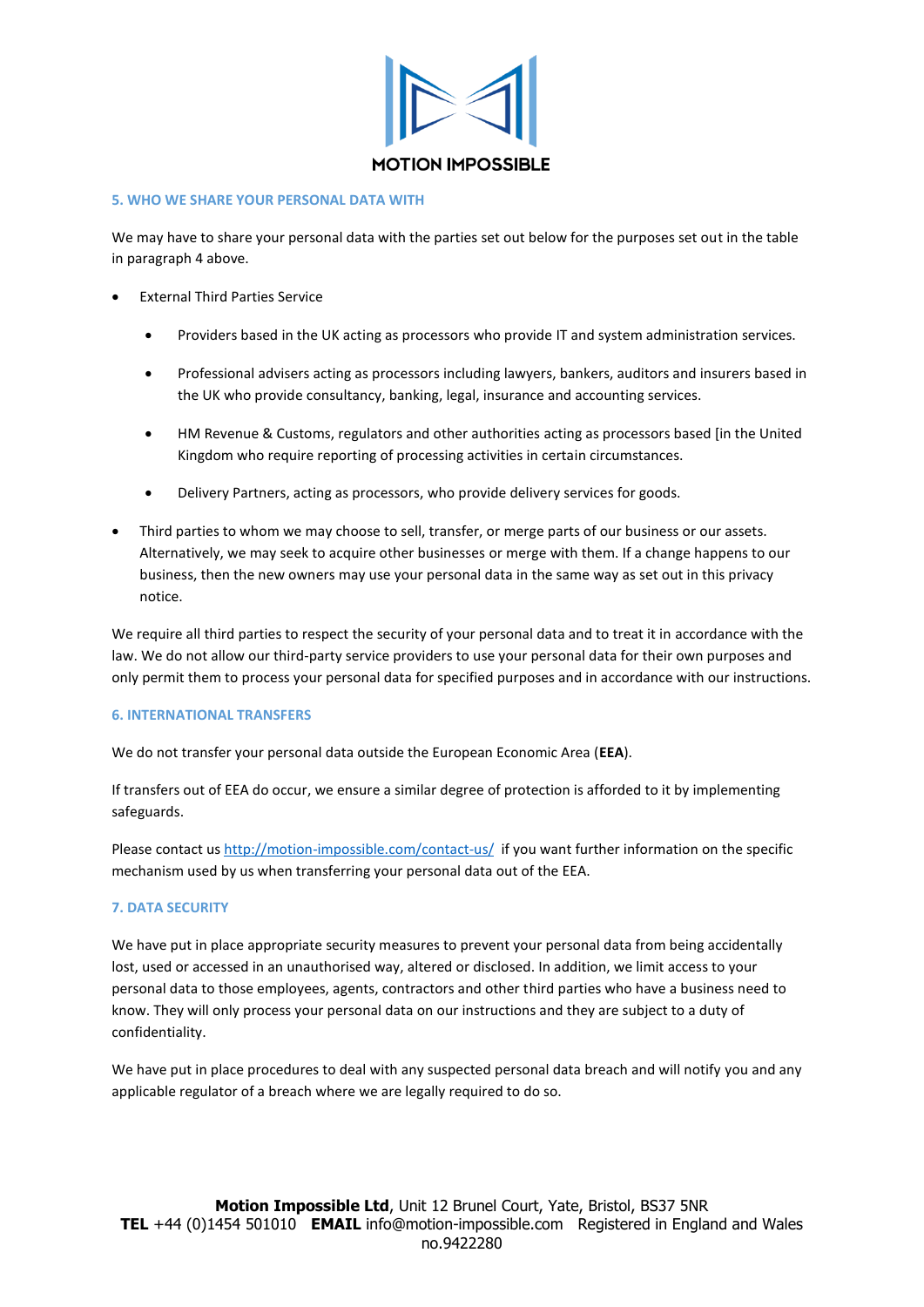

#### **5. WHO WE SHARE YOUR PERSONAL DATA WITH**

We may have to share your personal data with the parties set out below for the purposes set out in the table in paragraph 4 above.

- **External Third Parties Service** 
	- Providers based in the UK acting as processors who provide IT and system administration services.
	- Professional advisers acting as processors including lawyers, bankers, auditors and insurers based in the UK who provide consultancy, banking, legal, insurance and accounting services.
	- HM Revenue & Customs, regulators and other authorities acting as processors based [in the United Kingdom who require reporting of processing activities in certain circumstances.
	- Delivery Partners, acting as processors, who provide delivery services for goods.
- Third parties to whom we may choose to sell, transfer, or merge parts of our business or our assets. Alternatively, we may seek to acquire other businesses or merge with them. If a change happens to our business, then the new owners may use your personal data in the same way as set out in this privacy notice.

We require all third parties to respect the security of your personal data and to treat it in accordance with the law. We do not allow our third-party service providers to use your personal data for their own purposes and only permit them to process your personal data for specified purposes and in accordance with our instructions.

## **6. INTERNATIONAL TRANSFERS**

We do not transfer your personal data outside the European Economic Area (**EEA**).

If transfers out of EEA do occur, we ensure a similar degree of protection is afforded to it by implementing safeguards.

Please contact u[s http://motion-impossible.com/contact-us/](http://motion-impossible.com/contact-us/) if you want further information on the specific mechanism used by us when transferring your personal data out of the EEA.

## **7. DATA SECURITY**

We have put in place appropriate security measures to prevent your personal data from being accidentally lost, used or accessed in an unauthorised way, altered or disclosed. In addition, we limit access to your personal data to those employees, agents, contractors and other third parties who have a business need to know. They will only process your personal data on our instructions and they are subject to a duty of confidentiality.

We have put in place procedures to deal with any suspected personal data breach and will notify you and any applicable regulator of a breach where we are legally required to do so.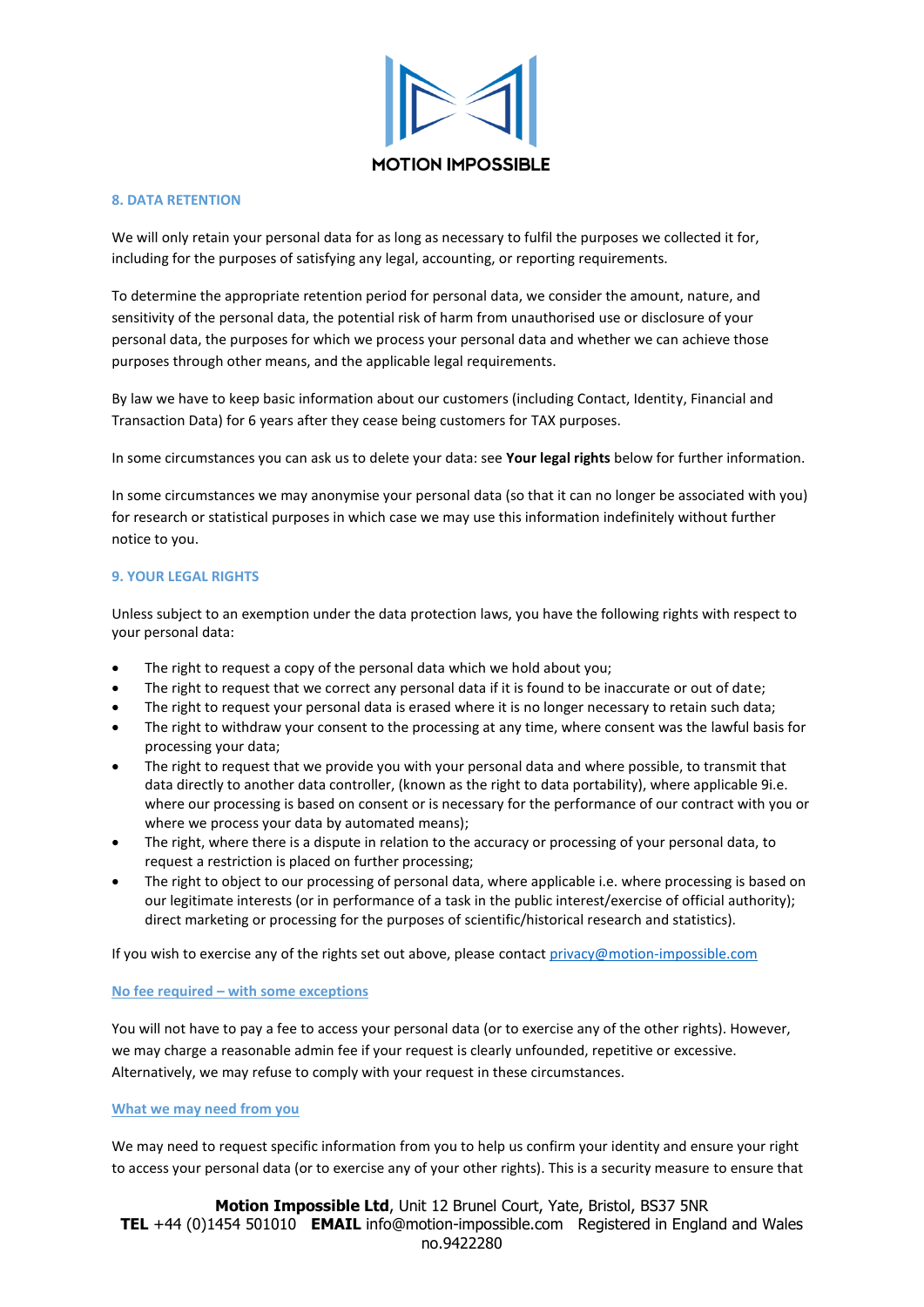

#### **8. DATA RETENTION**

We will only retain your personal data for as long as necessary to fulfil the purposes we collected it for, including for the purposes of satisfying any legal, accounting, or reporting requirements.

To determine the appropriate retention period for personal data, we consider the amount, nature, and sensitivity of the personal data, the potential risk of harm from unauthorised use or disclosure of your personal data, the purposes for which we process your personal data and whether we can achieve those purposes through other means, and the applicable legal requirements.

By law we have to keep basic information about our customers (including Contact, Identity, Financial and Transaction Data) for 6 years after they cease being customers for TAX purposes.

In some circumstances you can ask us to delete your data: see **Your legal rights** below for further information.

In some circumstances we may anonymise your personal data (so that it can no longer be associated with you) for research or statistical purposes in which case we may use this information indefinitely without further notice to you.

## **9. YOUR LEGAL RIGHTS**

Unless subject to an exemption under the data protection laws, you have the following rights with respect to your personal data:

- The right to request a copy of the personal data which we hold about you;
- The right to request that we correct any personal data if it is found to be inaccurate or out of date;
- The right to request your personal data is erased where it is no longer necessary to retain such data;
- The right to withdraw your consent to the processing at any time, where consent was the lawful basis for processing your data;
- The right to request that we provide you with your personal data and where possible, to transmit that data directly to another data controller, (known as the right to data portability), where applicable 9i.e. where our processing is based on consent or is necessary for the performance of our contract with you or where we process your data by automated means);
- The right, where there is a dispute in relation to the accuracy or processing of your personal data, to request a restriction is placed on further processing;
- The right to object to our processing of personal data, where applicable i.e. where processing is based on our legitimate interests (or in performance of a task in the public interest/exercise of official authority); direct marketing or processing for the purposes of scientific/historical research and statistics).

If you wish to exercise any of the rights set out above, please contact [privacy@motion-impossible.com](mailto:privacy@motion-impossible.com)

## **No fee required – with some exceptions**

You will not have to pay a fee to access your personal data (or to exercise any of the other rights). However, we may charge a reasonable admin fee if your request is clearly unfounded, repetitive or excessive. Alternatively, we may refuse to comply with your request in these circumstances.

## **What we may need from you**

We may need to request specific information from you to help us confirm your identity and ensure your right to access your personal data (or to exercise any of your other rights). This is a security measure to ensure that

**Motion Impossible Ltd**, Unit 12 Brunel Court, Yate, Bristol, BS37 5NR **TEL** +44 (0)1454 501010 **EMAIL** info@motion-impossible.com Registered in England and Wales no.9422280